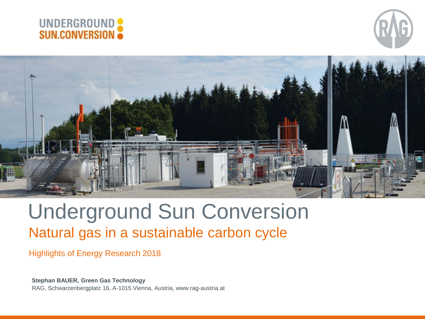





# Underground Sun Conversion Natural gas in a sustainable carbon cycle

#### Highlights of Energy Research 2018

**Stephan BAUER, Green Gas Technology** RAG, Schwarzenbergplatz 16, A-1015 Vienna, Austria, www.rag-austria.at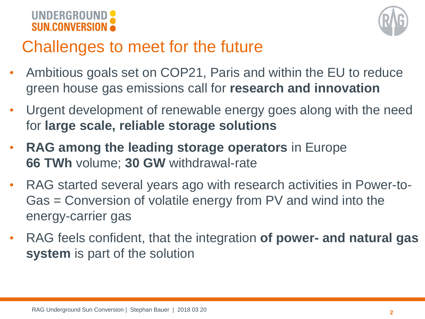



# Challenges to meet for the future

- Ambitious goals set on COP21, Paris and within the EU to reduce green house gas emissions call for **research and innovation**
- Urgent development of renewable energy goes along with the need for **large scale, reliable storage solutions**
- **RAG among the leading storage operators** in Europe **66 TWh** volume; **30 GW** withdrawal-rate
- RAG started several years ago with research activities in Power-to-Gas = Conversion of volatile energy from PV and wind into the energy-carrier gas
- RAG feels confident, that the integration **of power- and natural gas system** is part of the solution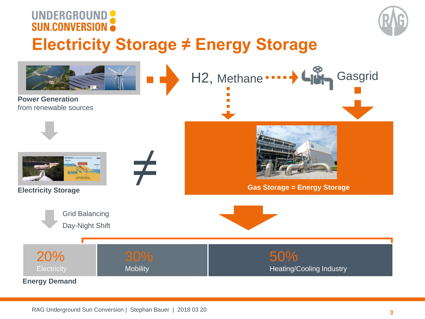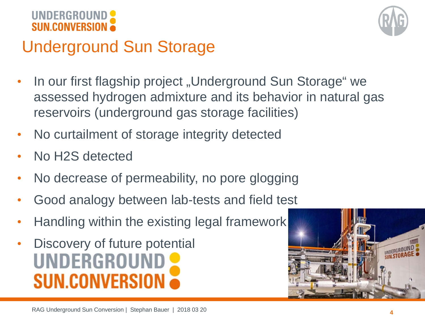![](_page_3_Picture_0.jpeg)

![](_page_3_Picture_1.jpeg)

# Underground Sun Storage

- In our first flagship project "Underground Sun Storage" we assessed hydrogen admixture and its behavior in natural gas reservoirs (underground gas storage facilities)
- No curtailment of storage integrity detected
- No H2S detected
- No decrease of permeability, no pore glogging
- Good analogy between lab-tests and field test
- Handling within the existing legal framework
- Discovery of future potential UNDERGROUND **SUN.CONVERSIO**

![](_page_3_Picture_10.jpeg)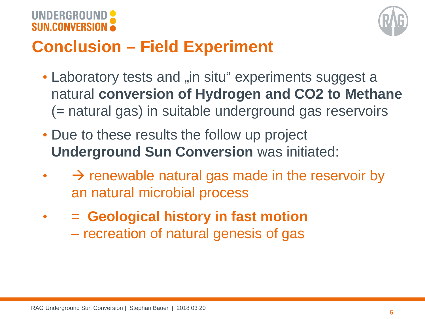![](_page_4_Picture_0.jpeg)

![](_page_4_Picture_1.jpeg)

# **Conclusion – Field Experiment**

- Laboratory tests and "in situ" experiments suggest a natural **conversion of Hydrogen and CO2 to Methane** (= natural gas) in suitable underground gas reservoirs
- Due to these results the follow up project **Underground Sun Conversion** was initiated:
- $\rightarrow$  renewable natural gas made in the reservoir by an natural microbial process
- = **Geological history in fast motion** 
	- recreation of natural genesis of gas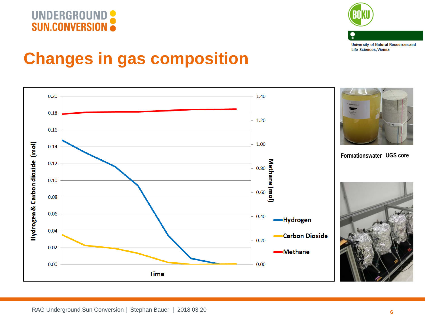![](_page_5_Picture_0.jpeg)

![](_page_5_Picture_1.jpeg)

**University of Natural Resources and** Life Sciences, Vienna

### **Changes in gas composition**

![](_page_5_Figure_4.jpeg)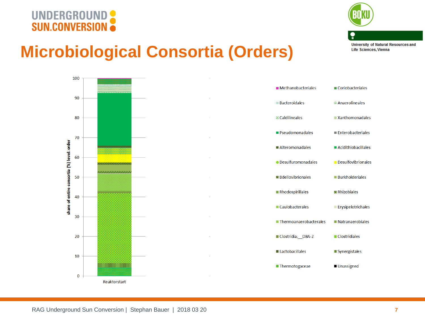# UNDERGROUND

![](_page_6_Picture_1.jpeg)

**University of Natural Resources and Life Sciences, Vienna** 

# **Microbiological Consortia (Orders)**

![](_page_6_Figure_4.jpeg)

![](_page_6_Figure_5.jpeg)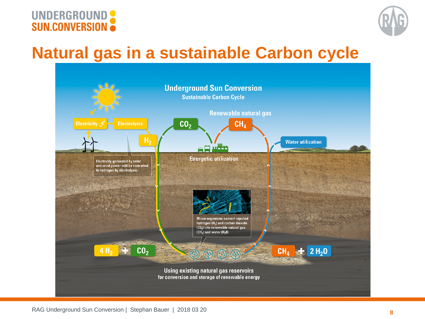![](_page_7_Picture_0.jpeg)

![](_page_7_Picture_1.jpeg)

### **Natural gas in a sustainable Carbon cycle**

![](_page_7_Figure_3.jpeg)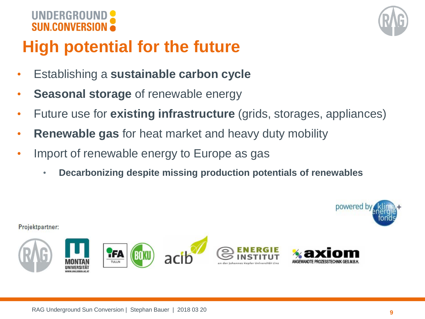![](_page_8_Picture_0.jpeg)

![](_page_8_Figure_1.jpeg)

# **High potential for the future**

- Establishing a **sustainable carbon cycle**
- **Seasonal storage** of renewable energy
- Future use for **existing infrastructure** (grids, storages, appliances)
- **Renewable gas** for heat market and heavy duty mobility
- Import of renewable energy to Europe as gas
	- **Decarbonizing despite missing production potentials of renewables**

![](_page_8_Picture_9.jpeg)